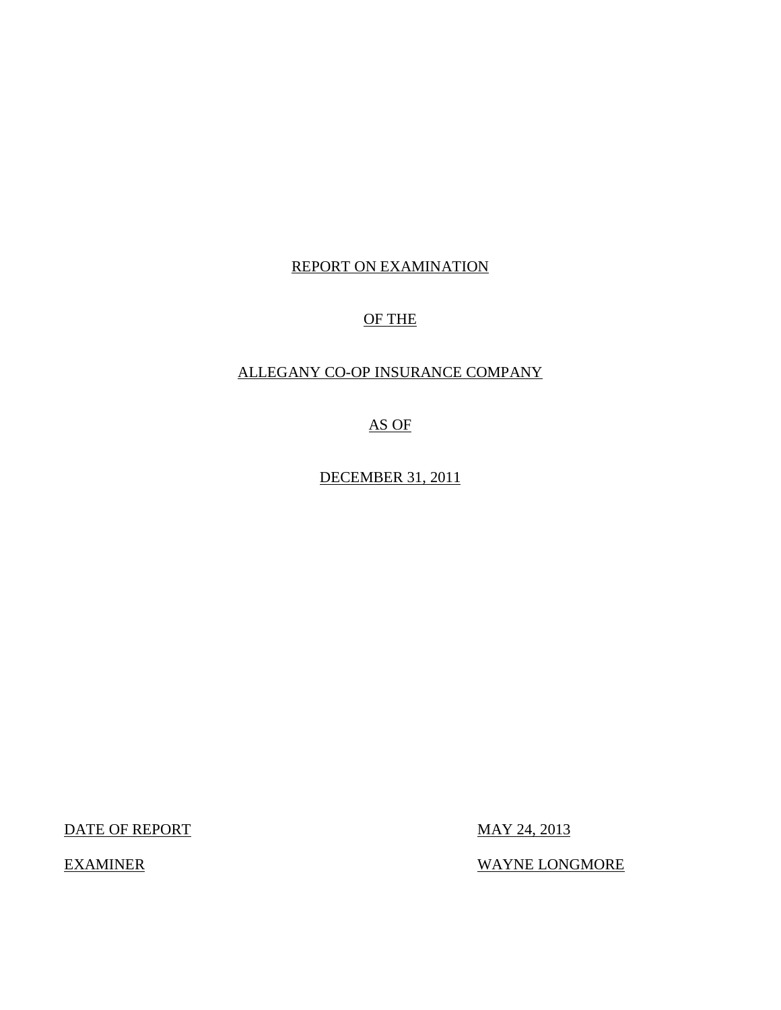## REPORT ON EXAMINATION

## OF THE

## ALLEGANY CO-OP INSURANCE COMPANY

AS OF

DECEMBER 31, 2011

DATE OF REPORT MAY 24, 2013

EXAMINER WAYNE LONGMORE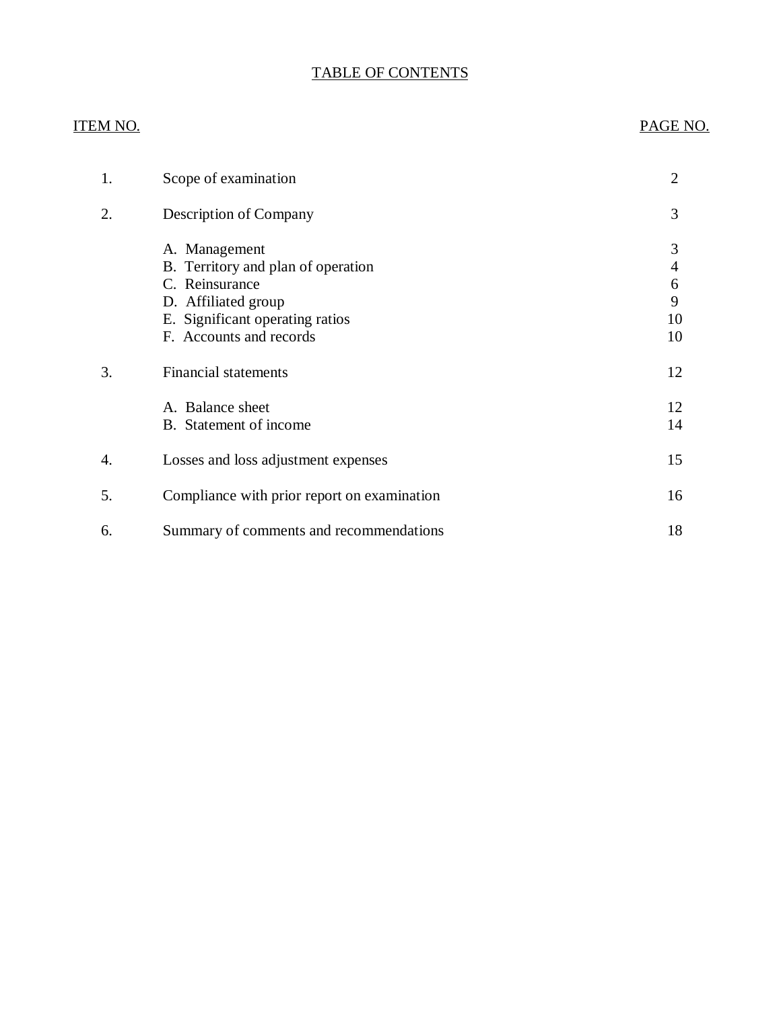## TABLE OF CONTENTS

## ITEM NO. PAGE NO.

| 1. | Scope of examination                                                                                                                                       | 2                            |
|----|------------------------------------------------------------------------------------------------------------------------------------------------------------|------------------------------|
| 2. | Description of Company                                                                                                                                     | 3                            |
|    | A. Management<br>B. Territory and plan of operation<br>C. Reinsurance<br>D. Affiliated group<br>E. Significant operating ratios<br>F. Accounts and records | 3<br>4<br>6<br>9<br>10<br>10 |
| 3. | <b>Financial statements</b>                                                                                                                                | 12                           |
|    | A. Balance sheet<br>B. Statement of income                                                                                                                 | 12<br>14                     |
| 4. | Losses and loss adjustment expenses                                                                                                                        | 15                           |
| 5. | Compliance with prior report on examination                                                                                                                | 16                           |
| 6. | Summary of comments and recommendations                                                                                                                    | 18                           |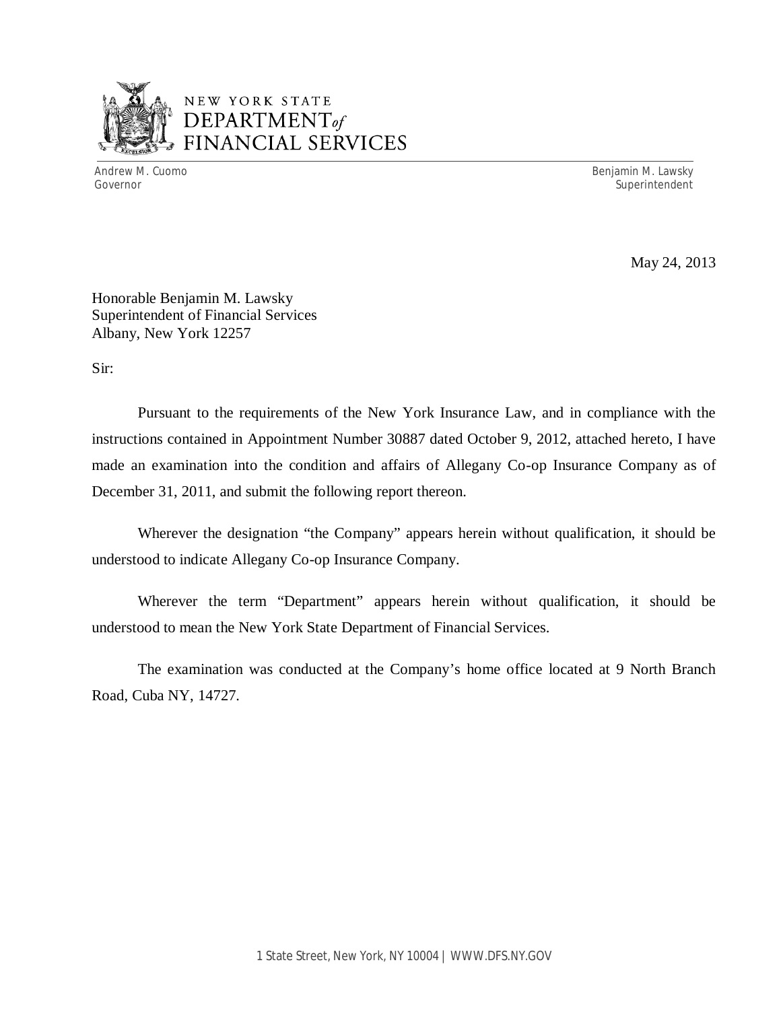

## NEW YORK STATE *DEPARTMENTof*  FINANCIAL SERVICES

Andrew M. Cuomo **Benjamin M. Lawsky** Governor Superintendent Superintendent Superintendent Superintendent Superintendent Superintendent Superintendent

May 24, 2013

Honorable Benjamin M. Lawsky Superintendent of Financial Services Albany, New York 12257

Sir:

Pursuant to the requirements of the New York Insurance Law, and in compliance with the instructions contained in Appointment Number 30887 dated October 9, 2012, attached hereto, I have made an examination into the condition and affairs of Allegany Co-op Insurance Company as of December 31, 2011, and submit the following report thereon.

Wherever the designation "the Company" appears herein without qualification, it should be understood to indicate Allegany Co-op Insurance Company.

Wherever the term "Department" appears herein without qualification, it should be understood to mean the New York State Department of Financial Services.

The examination was conducted at the Company's home office located at 9 North Branch Road, Cuba NY, 14727.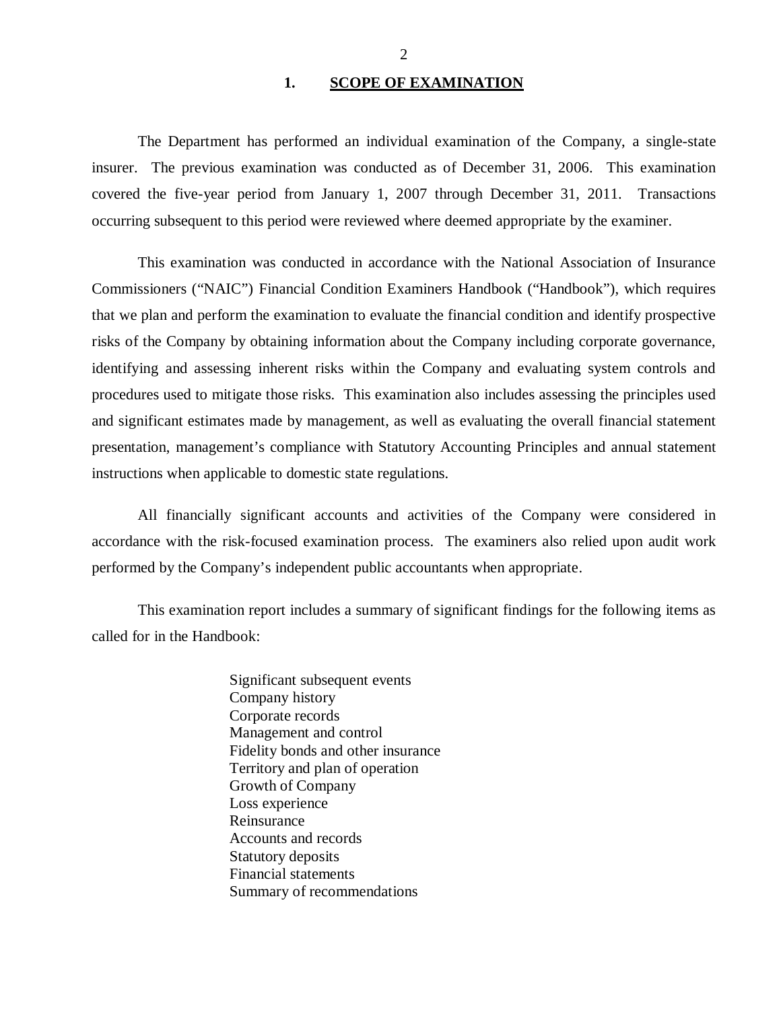## 1. SCOPE OF EXAMINATION

<span id="page-3-0"></span>The Department has performed an individual examination of the Company, a single-state insurer. The previous examination was conducted as of December 31, 2006. This examination covered the five-year period from January 1, 2007 through December 31, 2011. Transactions occurring subsequent to this period were reviewed where deemed appropriate by the examiner.

This examination was conducted in accordance with the National Association of Insurance Commissioners ("NAIC") Financial Condition Examiners Handbook ("Handbook"), which requires that we plan and perform the examination to evaluate the financial condition and identify prospective risks of the Company by obtaining information about the Company including corporate governance, identifying and assessing inherent risks within the Company and evaluating system controls and procedures used to mitigate those risks. This examination also includes assessing the principles used and significant estimates made by management, as well as evaluating the overall financial statement presentation, management's compliance with Statutory Accounting Principles and annual statement instructions when applicable to domestic state regulations.

All financially significant accounts and activities of the Company were considered in accordance with the risk-focused examination process. The examiners also relied upon audit work performed by the Company's independent public accountants when appropriate.

This examination report includes a summary of significant findings for the following items as called for in the Handbook:

> Significant subsequent events Company history Corporate records Management and control Fidelity bonds and other insurance Territory and plan of operation Growth of Company Loss experience Reinsurance Accounts and records Statutory deposits Financial statements Summary of recommendations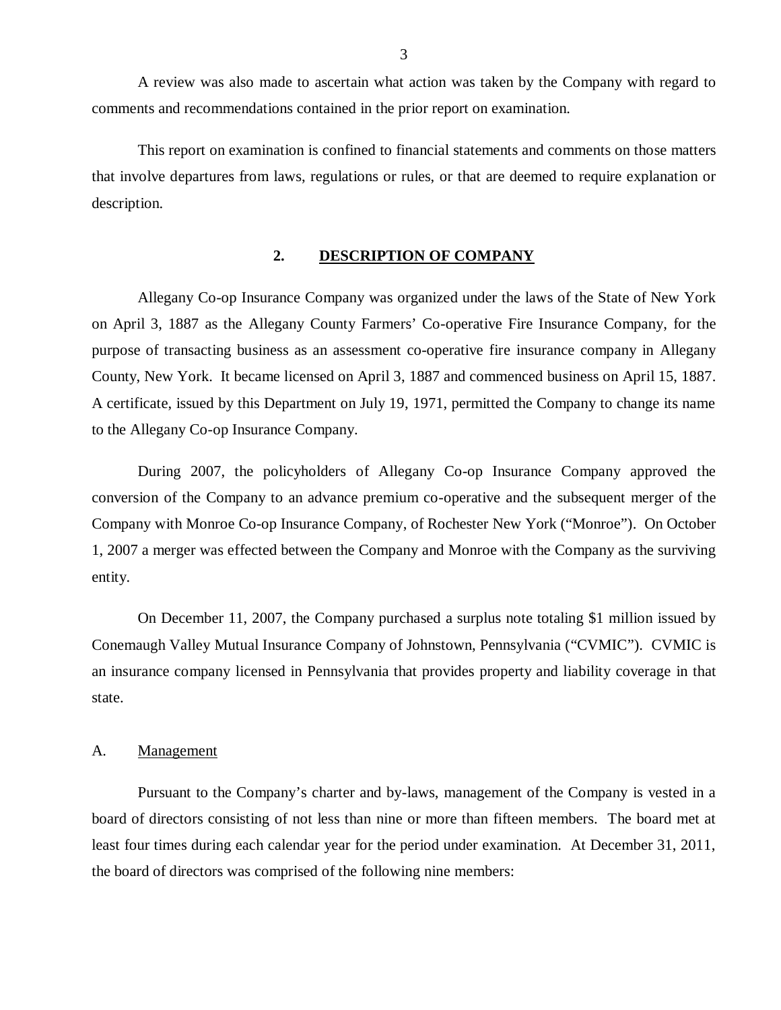<span id="page-4-0"></span>A review was also made to ascertain what action was taken by the Company with regard to comments and recommendations contained in the prior report on examination.

This report on examination is confined to financial statements and comments on those matters that involve departures from laws, regulations or rules, or that are deemed to require explanation or description.

## **2. DESCRIPTION OF COMPANY**

Allegany Co-op Insurance Company was organized under the laws of the State of New York on April 3, 1887 as the Allegany County Farmers' Co-operative Fire Insurance Company, for the purpose of transacting business as an assessment co-operative fire insurance company in Allegany County, New York. It became licensed on April 3, 1887 and commenced business on April 15, 1887. A certificate, issued by this Department on July 19, 1971, permitted the Company to change its name to the Allegany Co-op Insurance Company.

During 2007, the policyholders of Allegany Co-op Insurance Company approved the conversion of the Company to an advance premium co-operative and the subsequent merger of the Company with Monroe Co-op Insurance Company, of Rochester New York ("Monroe"). On October 1, 2007 a merger was effected between the Company and Monroe with the Company as the surviving entity.

On December 11, 2007, the Company purchased a surplus note totaling \$1 million issued by Conemaugh Valley Mutual Insurance Company of Johnstown, Pennsylvania ("CVMIC"). CVMIC is an insurance company licensed in Pennsylvania that provides property and liability coverage in that state.

### A. Management

Pursuant to the Company's charter and by-laws, management of the Company is vested in a board of directors consisting of not less than nine or more than fifteen members. The board met at least four times during each calendar year for the period under examination. At December 31, 2011, the board of directors was comprised of the following nine members: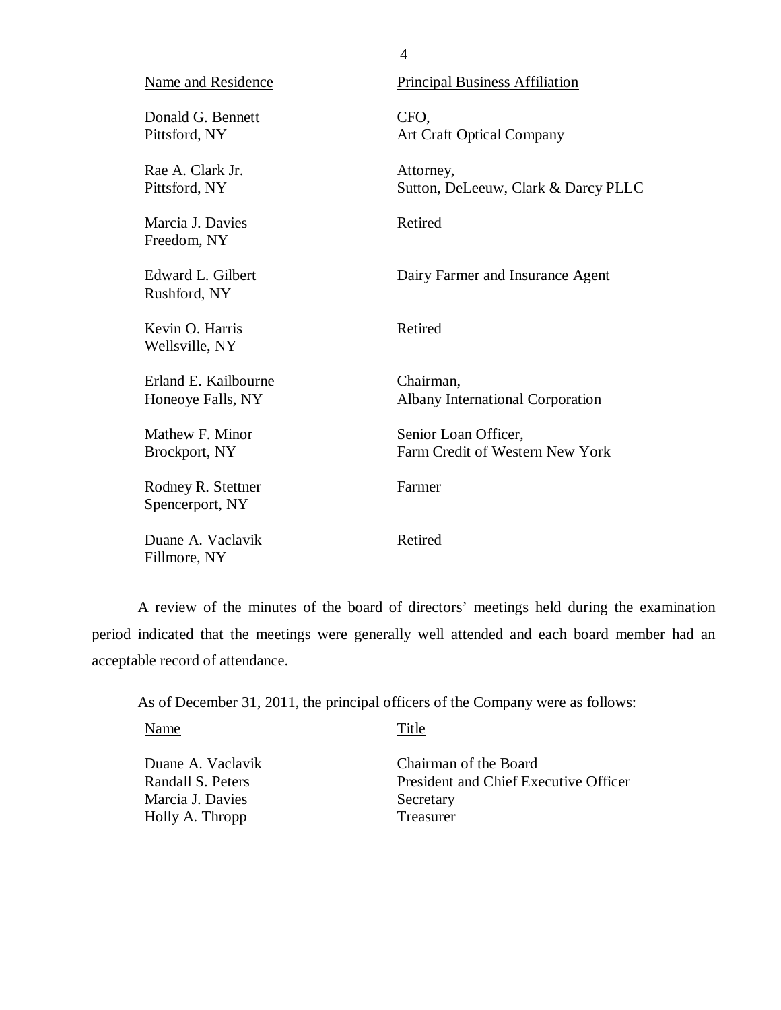<span id="page-5-0"></span>

| <b>Name and Residence</b>                 | <b>Principal Business Affiliation</b>                   |
|-------------------------------------------|---------------------------------------------------------|
| Donald G. Bennett<br>Pittsford, NY        | CFO,<br><b>Art Craft Optical Company</b>                |
| Rae A. Clark Jr.<br>Pittsford, NY         | Attorney,<br>Sutton, DeLeeuw, Clark & Darcy PLLC        |
| Marcia J. Davies<br>Freedom, NY           | Retired                                                 |
| Edward L. Gilbert<br>Rushford, NY         | Dairy Farmer and Insurance Agent                        |
| Kevin O. Harris<br>Wellsville, NY         | Retired                                                 |
| Erland E. Kailbourne<br>Honeoye Falls, NY | Chairman,<br><b>Albany International Corporation</b>    |
| Mathew F. Minor<br>Brockport, NY          | Senior Loan Officer,<br>Farm Credit of Western New York |
| Rodney R. Stettner<br>Spencerport, NY     | Farmer                                                  |
| Duane A. Vaclavik<br>Fillmore, NY         | Retired                                                 |

4

A review of the minutes of the board of directors' meetings held during the examination period indicated that the meetings were generally well attended and each board member had an acceptable record of attendance.

As of December 31, 2011, the principal officers of the Company were as follows:

Name Title

Marcia J. Davies Secretary<br>Holly A. Thropp Treasurer Holly A. Thropp

Duane A. Vaclavik Chairman of the Board<br>Randall S. Peters President and Chief Exe President and Chief Executive Officer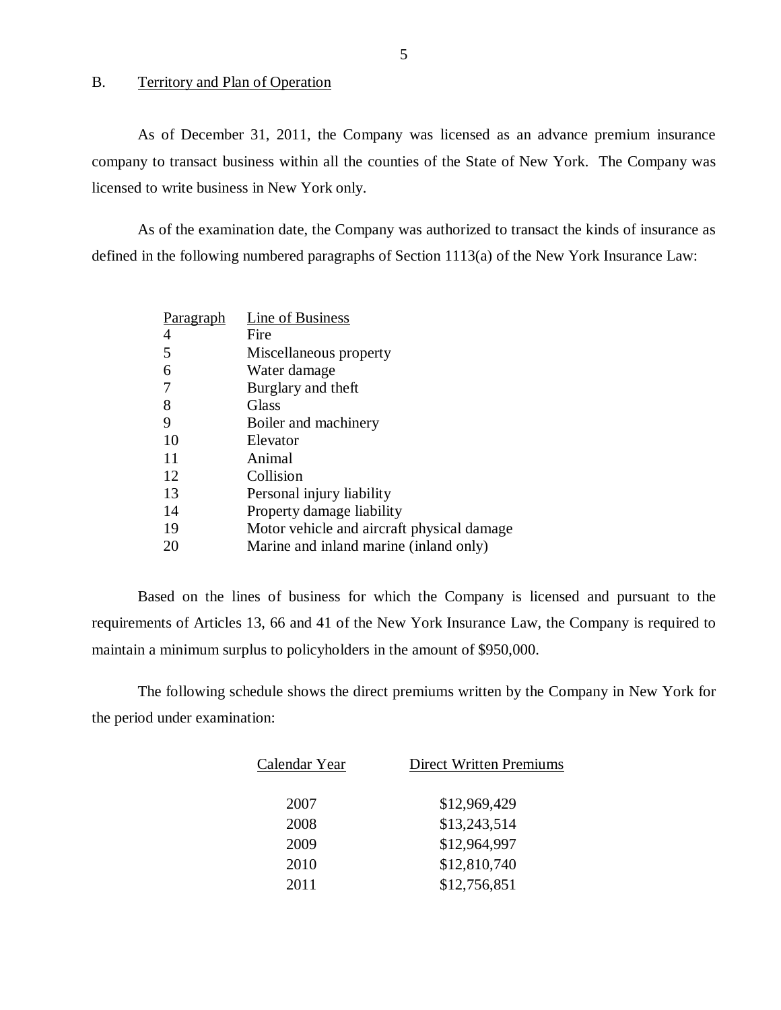#### B. Territory and Plan of Operation

As of December 31, 2011, the Company was licensed as an advance premium insurance company to transact business within all the counties of the State of New York. The Company was licensed to write business in New York only.

As of the examination date, the Company was authorized to transact the kinds of insurance as defined in the following numbered paragraphs of Section 1113(a) of the New York Insurance Law:

| <u>Paragraph</u> | <b>Line of Business</b>                     |
|------------------|---------------------------------------------|
| 4                | Fire                                        |
| 5                | Miscellaneous property                      |
| 6                | Water damage                                |
|                  | Burglary and theft                          |
| 8                | Glass                                       |
| 9                | Boiler and machinery                        |
| 10               | Elevator                                    |
| 11               | Animal                                      |
| 12               | Collision                                   |
| 13               | Personal injury liability                   |
| 14               | Property damage liability                   |
| 19               | Motor vehicle and aircraft physical damage. |
| 20               | Marine and inland marine (inland only)      |

Based on the lines of business for which the Company is licensed and pursuant to the requirements of Articles 13, 66 and 41 of the New York Insurance Law, the Company is required to maintain a minimum surplus to policyholders in the amount of \$950,000.

The following schedule shows the direct premiums written by the Company in New York for the period under examination:

| Calendar Year | <b>Direct Written Premiums</b> |  |
|---------------|--------------------------------|--|
| 2007          | \$12,969,429                   |  |
| 2008          | \$13,243,514                   |  |
| 2009          | \$12,964,997                   |  |
| 2010          | \$12,810,740                   |  |
| 2011          | \$12,756,851                   |  |
|               |                                |  |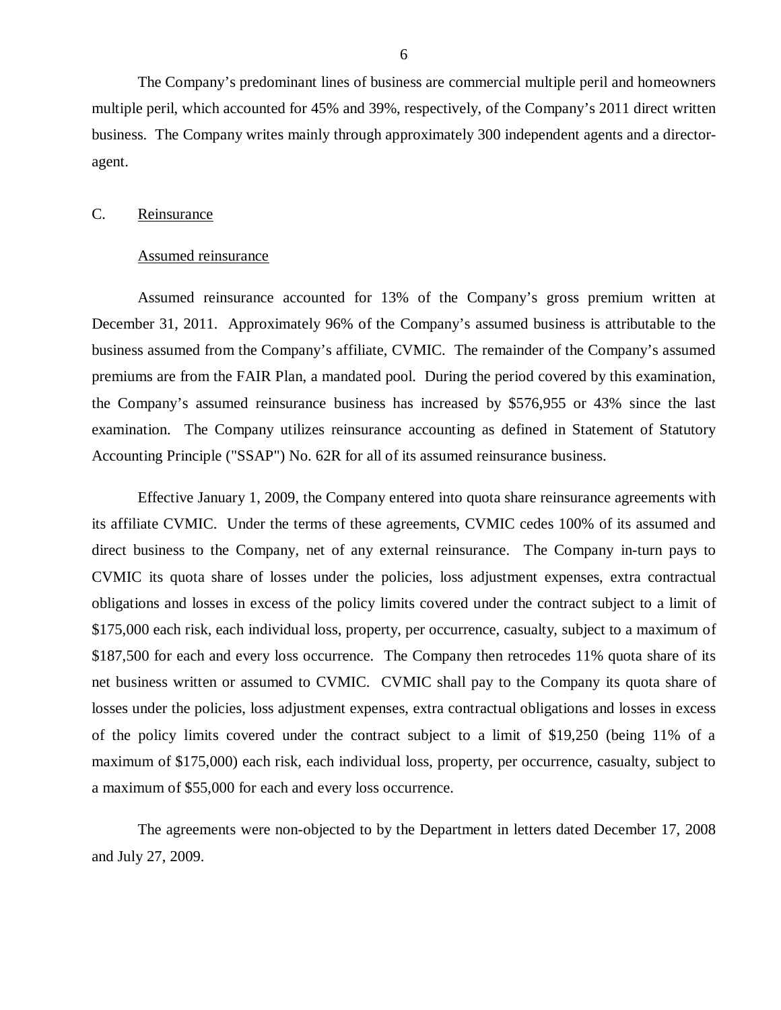<span id="page-7-0"></span>The Company's predominant lines of business are commercial multiple peril and homeowners multiple peril, which accounted for 45% and 39%, respectively, of the Company's 2011 direct written business. The Company writes mainly through approximately 300 independent agents and a directoragent.

#### C. Reinsurance

#### Assumed reinsurance

Assumed reinsurance accounted for 13% of the Company's gross premium written at December 31, 2011. Approximately 96% of the Company's assumed business is attributable to the business assumed from the Company's affiliate, CVMIC. The remainder of the Company's assumed premiums are from the FAIR Plan, a mandated pool. During the period covered by this examination, the Company's assumed reinsurance business has increased by \$576,955 or 43% since the last examination. The Company utilizes reinsurance accounting as defined in Statement of Statutory Accounting Principle ("SSAP") No. 62R for all of its assumed reinsurance business.

Effective January 1, 2009, the Company entered into quota share reinsurance agreements with its affiliate CVMIC. Under the terms of these agreements, CVMIC cedes 100% of its assumed and direct business to the Company, net of any external reinsurance. The Company in-turn pays to CVMIC its quota share of losses under the policies, loss adjustment expenses, extra contractual obligations and losses in excess of the policy limits covered under the contract subject to a limit of \$175,000 each risk, each individual loss, property, per occurrence, casualty, subject to a maximum of \$187,500 for each and every loss occurrence. The Company then retrocedes 11% quota share of its net business written or assumed to CVMIC. CVMIC shall pay to the Company its quota share of losses under the policies, loss adjustment expenses, extra contractual obligations and losses in excess of the policy limits covered under the contract subject to a limit of \$19,250 (being 11% of a maximum of \$175,000) each risk, each individual loss, property, per occurrence, casualty, subject to a maximum of \$55,000 for each and every loss occurrence.

The agreements were non-objected to by the Department in letters dated December 17, 2008 and July 27, 2009.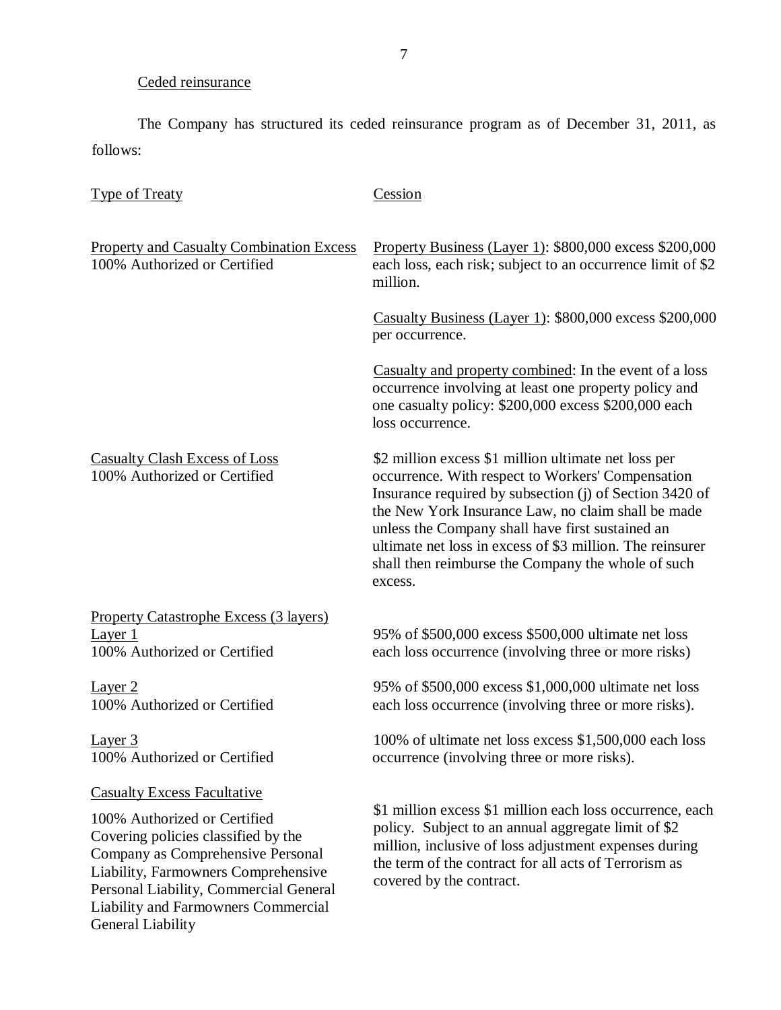## Ceded reinsurance

The Company has structured its ceded reinsurance program as of December 31, 2011, as follows:

| <b>Type of Treaty</b>                                                                                                                                                                                                                                                                       | Cession                                                                                                                                                                                                                                                                                                                                                                                                      |
|---------------------------------------------------------------------------------------------------------------------------------------------------------------------------------------------------------------------------------------------------------------------------------------------|--------------------------------------------------------------------------------------------------------------------------------------------------------------------------------------------------------------------------------------------------------------------------------------------------------------------------------------------------------------------------------------------------------------|
| <b>Property and Casualty Combination Excess</b><br>100% Authorized or Certified                                                                                                                                                                                                             | Property Business (Layer 1): \$800,000 excess \$200,000<br>each loss, each risk; subject to an occurrence limit of \$2<br>million.                                                                                                                                                                                                                                                                           |
|                                                                                                                                                                                                                                                                                             | Casualty Business (Layer 1): \$800,000 excess \$200,000<br>per occurrence.                                                                                                                                                                                                                                                                                                                                   |
|                                                                                                                                                                                                                                                                                             | Casualty and property combined: In the event of a loss<br>occurrence involving at least one property policy and<br>one casualty policy: \$200,000 excess \$200,000 each<br>loss occurrence.                                                                                                                                                                                                                  |
| <b>Casualty Clash Excess of Loss</b><br>100% Authorized or Certified                                                                                                                                                                                                                        | \$2 million excess \$1 million ultimate net loss per<br>occurrence. With respect to Workers' Compensation<br>Insurance required by subsection (j) of Section 3420 of<br>the New York Insurance Law, no claim shall be made<br>unless the Company shall have first sustained an<br>ultimate net loss in excess of \$3 million. The reinsurer<br>shall then reimburse the Company the whole of such<br>excess. |
| <b>Property Catastrophe Excess (3 layers)</b>                                                                                                                                                                                                                                               |                                                                                                                                                                                                                                                                                                                                                                                                              |
| Layer 1<br>100% Authorized or Certified                                                                                                                                                                                                                                                     | 95% of \$500,000 excess \$500,000 ultimate net loss<br>each loss occurrence (involving three or more risks)                                                                                                                                                                                                                                                                                                  |
| Layer 2<br>100% Authorized or Certified                                                                                                                                                                                                                                                     | 95% of \$500,000 excess \$1,000,000 ultimate net loss<br>each loss occurrence (involving three or more risks).                                                                                                                                                                                                                                                                                               |
| Layer 3<br>100% Authorized or Certified                                                                                                                                                                                                                                                     | 100% of ultimate net loss excess \$1,500,000 each loss<br>occurrence (involving three or more risks).                                                                                                                                                                                                                                                                                                        |
| <b>Casualty Excess Facultative</b><br>100% Authorized or Certified<br>Covering policies classified by the<br>Company as Comprehensive Personal<br>Liability, Farmowners Comprehensive<br>Personal Liability, Commercial General<br>Liability and Farmowners Commercial<br>General Liability | \$1 million excess \$1 million each loss occurrence, each<br>policy. Subject to an annual aggregate limit of \$2<br>million, inclusive of loss adjustment expenses during<br>the term of the contract for all acts of Terrorism as<br>covered by the contract.                                                                                                                                               |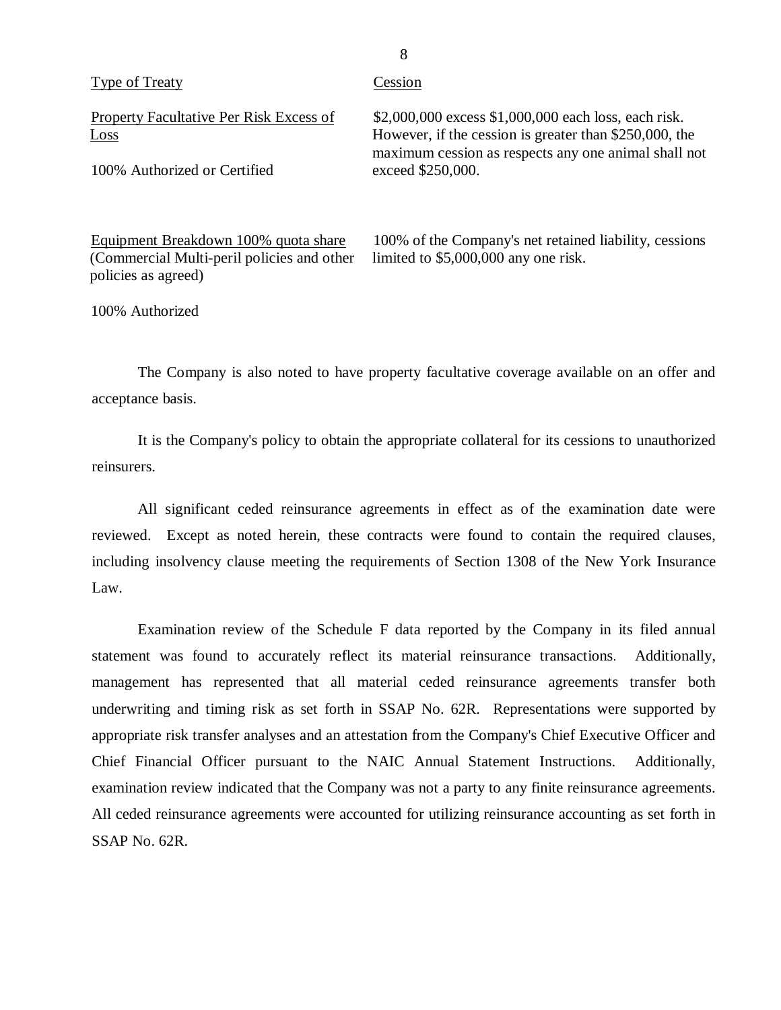| Type of Treaty                                  | Cession                                                                                                                                                                |
|-------------------------------------------------|------------------------------------------------------------------------------------------------------------------------------------------------------------------------|
| Property Facultative Per Risk Excess of<br>Loss | \$2,000,000 excess \$1,000,000 each loss, each risk.<br>However, if the cession is greater than \$250,000, the<br>maximum cession as respects any one animal shall not |
| 100% Authorized or Certified                    | exceed \$250,000.                                                                                                                                                      |
| Equipment Breakdown 100% quota share            | 100% of the Company's net retained liability, cessions                                                                                                                 |
| (Commercial Multi-peril policies and other      | limited to $$5,000,000$ any one risk.                                                                                                                                  |

8

100% Authorized

policies as agreed)

The Company is also noted to have property facultative coverage available on an offer and acceptance basis.

It is the Company's policy to obtain the appropriate collateral for its cessions to unauthorized reinsurers.

All significant ceded reinsurance agreements in effect as of the examination date were reviewed. Except as noted herein, these contracts were found to contain the required clauses, including insolvency clause meeting the requirements of Section 1308 of the New York Insurance Law.

Examination review of the Schedule F data reported by the Company in its filed annual statement was found to accurately reflect its material reinsurance transactions. Additionally, management has represented that all material ceded reinsurance agreements transfer both underwriting and timing risk as set forth in SSAP No. 62R. Representations were supported by appropriate risk transfer analyses and an attestation from the Company's Chief Executive Officer and Chief Financial Officer pursuant to the NAIC Annual Statement Instructions. Additionally, examination review indicated that the Company was not a party to any finite reinsurance agreements. All ceded reinsurance agreements were accounted for utilizing reinsurance accounting as set forth in SSAP No. 62R.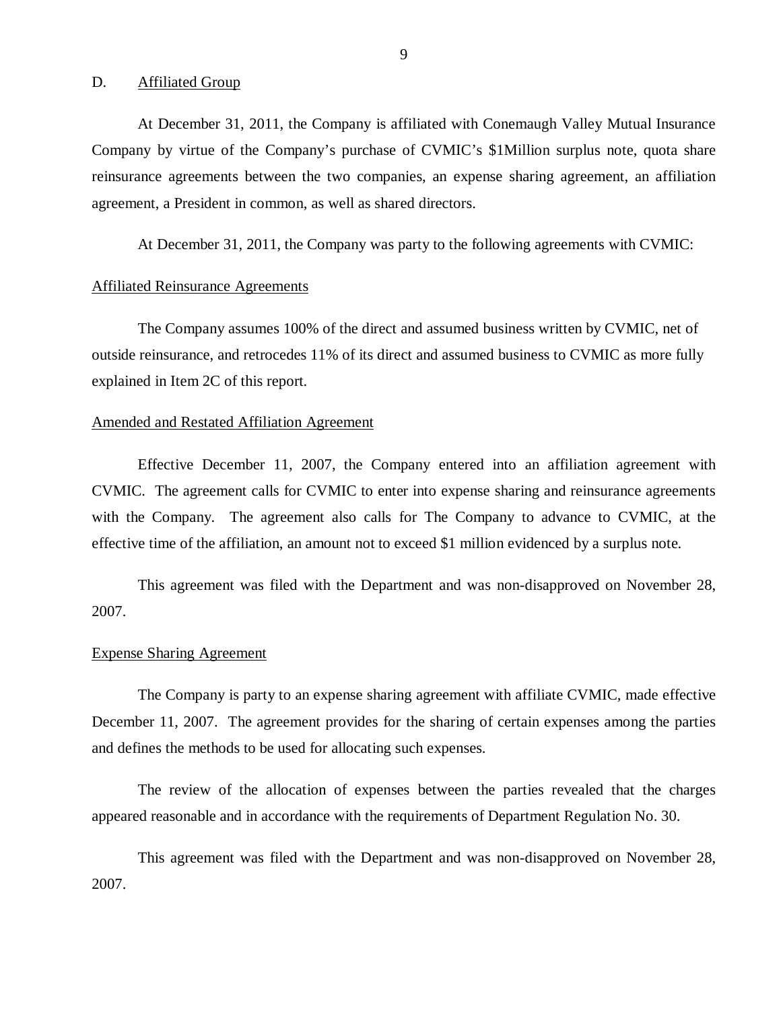## <span id="page-10-0"></span>D. **Affiliated Group**

At December 31, 2011, the Company is affiliated with Conemaugh Valley Mutual Insurance Company by virtue of the Company's purchase of CVMIC's \$1Million surplus note, quota share reinsurance agreements between the two companies, an expense sharing agreement, an affiliation agreement, a President in common, as well as shared directors.

At December 31, 2011, the Company was party to the following agreements with CVMIC:

### Affiliated Reinsurance Agreements

The Company assumes 100% of the direct and assumed business written by CVMIC, net of outside reinsurance, and retrocedes 11% of its direct and assumed business to CVMIC as more fully explained in Item 2C of this report.

#### Amended and Restated Affiliation Agreement

Effective December 11, 2007, the Company entered into an affiliation agreement with CVMIC. The agreement calls for CVMIC to enter into expense sharing and reinsurance agreements with the Company. The agreement also calls for The Company to advance to CVMIC, at the effective time of the affiliation, an amount not to exceed \$1 million evidenced by a surplus note.

This agreement was filed with the Department and was non-disapproved on November 28, 2007.

## Expense Sharing Agreement

The Company is party to an expense sharing agreement with affiliate CVMIC, made effective December 11, 2007. The agreement provides for the sharing of certain expenses among the parties and defines the methods to be used for allocating such expenses.

The review of the allocation of expenses between the parties revealed that the charges appeared reasonable and in accordance with the requirements of Department Regulation No. 30.

This agreement was filed with the Department and was non-disapproved on November 28, 2007.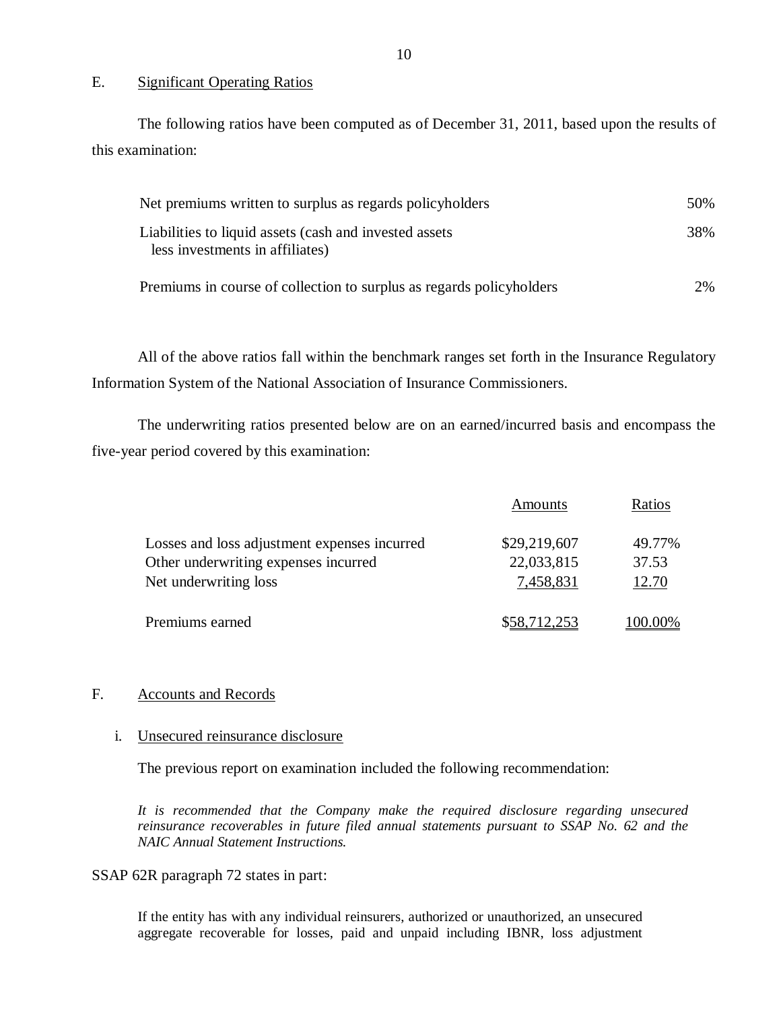### E. Significant Operating Ratios

The following ratios have been computed as of December 31, 2011, based upon the results of this examination:

| Net premiums written to surplus as regards policyholders                                   | 50% |
|--------------------------------------------------------------------------------------------|-----|
| Liabilities to liquid assets (cash and invested assets)<br>less investments in affiliates) | 38% |
| Premiums in course of collection to surplus as regards policyholders                       | 2%  |

All of the above ratios fall within the benchmark ranges set forth in the Insurance Regulatory Information System of the National Association of Insurance Commissioners.

The underwriting ratios presented below are on an earned/incurred basis and encompass the five-year period covered by this examination:

|                                              | Amounts      | Ratios  |
|----------------------------------------------|--------------|---------|
| Losses and loss adjustment expenses incurred | \$29,219,607 | 49.77%  |
| Other underwriting expenses incurred         | 22,033,815   | 37.53   |
| Net underwriting loss                        | 7,458,831    | 12.70   |
| Premiums earned                              | \$58,712,253 | 100.00% |

## F. Accounts and Records

## i. Unsecured reinsurance disclosure

The previous report on examination included the following recommendation:

It is recommended that the Company make the required disclosure regarding unsecured *reinsurance recoverables in future filed annual statements pursuant to SSAP No. 62 and the NAIC Annual Statement Instructions.* 

SSAP 62R paragraph 72 states in part:

If the entity has with any individual reinsurers, authorized or unauthorized, an unsecured aggregate recoverable for losses, paid and unpaid including IBNR, loss adjustment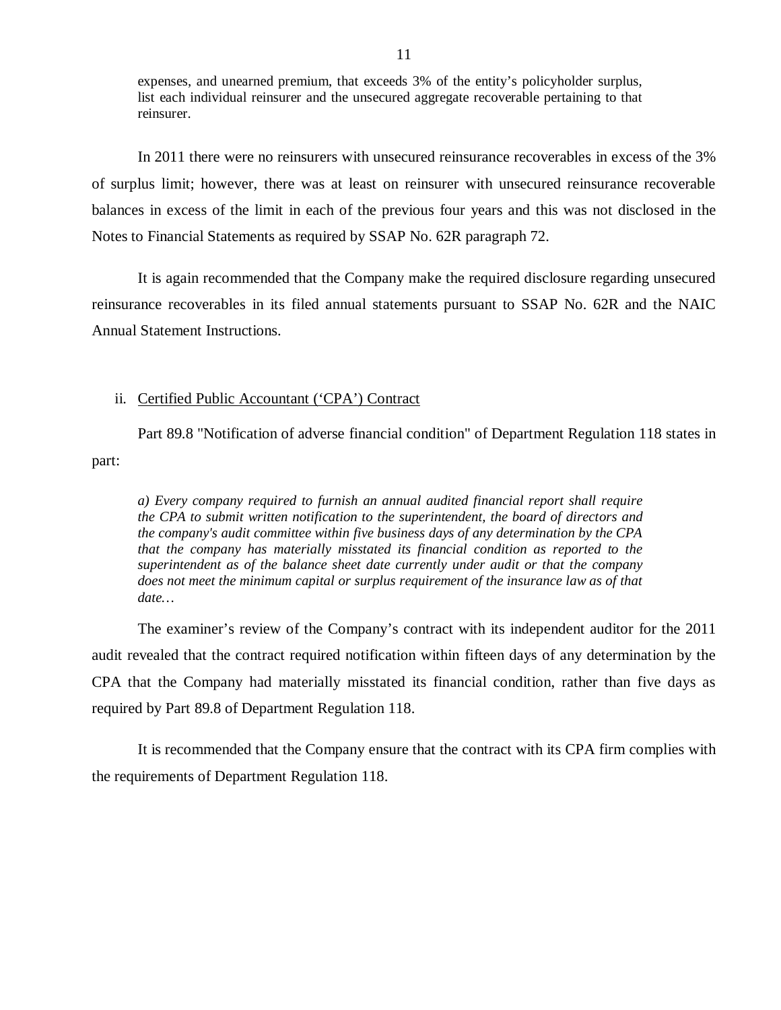expenses, and unearned premium, that exceeds 3% of the entity's policyholder surplus, list each individual reinsurer and the unsecured aggregate recoverable pertaining to that reinsurer.

In 2011 there were no reinsurers with unsecured reinsurance recoverables in excess of the 3% of surplus limit; however, there was at least on reinsurer with unsecured reinsurance recoverable balances in excess of the limit in each of the previous four years and this was not disclosed in the Notes to Financial Statements as required by SSAP No. 62R paragraph 72.

It is again recommended that the Company make the required disclosure regarding unsecured reinsurance recoverables in its filed annual statements pursuant to SSAP No. 62R and the NAIC Annual Statement Instructions.

## ii. Certified Public Accountant ('CPA') Contract

Part 89.8 "Notification of adverse financial condition" of Department Regulation 118 states in part:

*a) Every company required to furnish an annual audited financial report shall require the CPA to submit written notification to the superintendent, the board of directors and the company's audit committee within five business days of any determination by the CPA that the company has materially misstated its financial condition as reported to the superintendent as of the balance sheet date currently under audit or that the company does not meet the minimum capital or surplus requirement of the insurance law as of that date…* 

The examiner's review of the Company's contract with its independent auditor for the 2011 audit revealed that the contract required notification within fifteen days of any determination by the CPA that the Company had materially misstated its financial condition, rather than five days as required by Part 89.8 of Department Regulation 118.

It is recommended that the Company ensure that the contract with its CPA firm complies with the requirements of Department Regulation 118.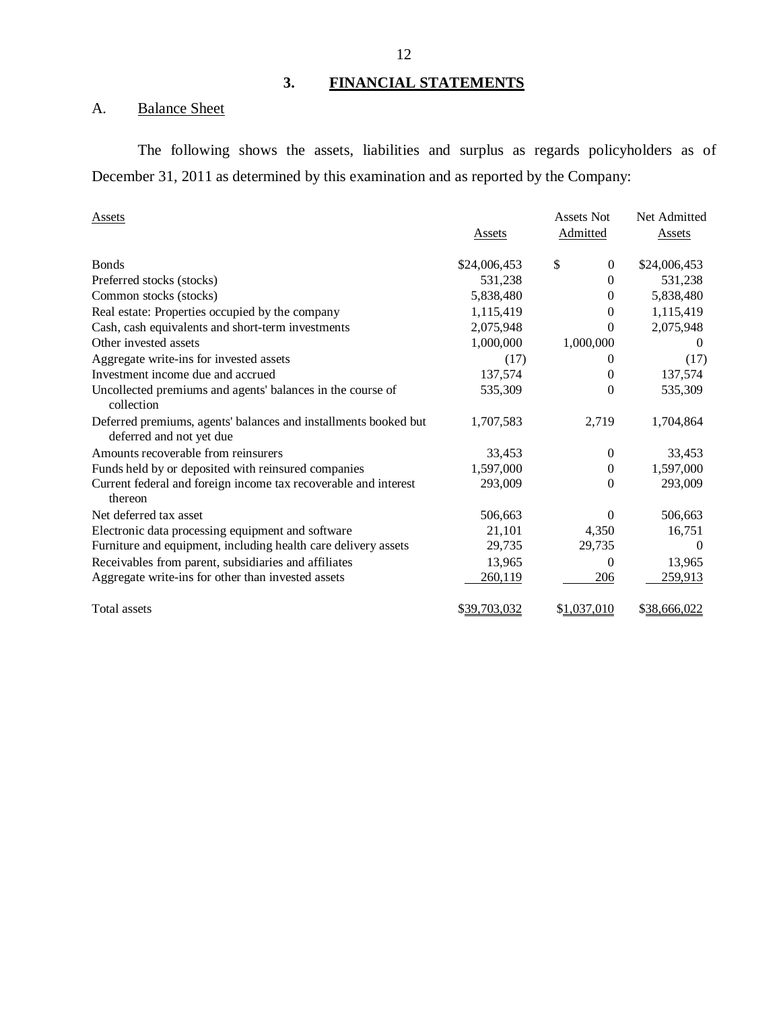## **3. FINANCIAL STATEMENTS**

## A. Balance Sheet

The following shows the assets, liabilities and surplus as regards policyholders as of December 31, 2011 as determined by this examination and as reported by the Company:

| <b>Assets</b>                                                                               | Assets       | Assets Not<br>Admitted | Net Admitted<br>Assets |
|---------------------------------------------------------------------------------------------|--------------|------------------------|------------------------|
| <b>Bonds</b>                                                                                | \$24,006,453 | \$<br>$\theta$         | \$24,006,453           |
| Preferred stocks (stocks)                                                                   | 531,238      | $\Omega$               | 531,238                |
| Common stocks (stocks)                                                                      | 5,838,480    | $\mathbf{0}$           | 5,838,480              |
| Real estate: Properties occupied by the company                                             | 1,115,419    | 0                      | 1,115,419              |
| Cash, cash equivalents and short-term investments                                           | 2,075,948    | $\Omega$               | 2,075,948              |
| Other invested assets                                                                       | 1,000,000    | 1,000,000              | $\theta$               |
| Aggregate write-ins for invested assets                                                     | (17)         | $\theta$               | (17)                   |
| Investment income due and accrued                                                           | 137,574      | 0                      | 137,574                |
| Uncollected premiums and agents' balances in the course of<br>collection                    | 535,309      | $\Omega$               | 535,309                |
| Deferred premiums, agents' balances and installments booked but<br>deferred and not yet due | 1,707,583    | 2,719                  | 1,704,864              |
| Amounts recoverable from reinsurers                                                         | 33,453       | $\Omega$               | 33,453                 |
| Funds held by or deposited with reinsured companies                                         | 1,597,000    | $\mathbf{0}$           | 1,597,000              |
| Current federal and foreign income tax recoverable and interest<br>thereon                  | 293,009      | $\Omega$               | 293,009                |
| Net deferred tax asset                                                                      | 506,663      | $\Omega$               | 506,663                |
| Electronic data processing equipment and software                                           | 21,101       | 4,350                  | 16,751                 |
| Furniture and equipment, including health care delivery assets                              | 29,735       | 29,735                 | 0                      |
| Receivables from parent, subsidiaries and affiliates                                        | 13,965       | $\Omega$               | 13,965                 |
| Aggregate write-ins for other than invested assets                                          | 260,119      | 206                    | 259,913                |
| Total assets                                                                                | \$39,703,032 | \$1,037,010            | \$38,666,022           |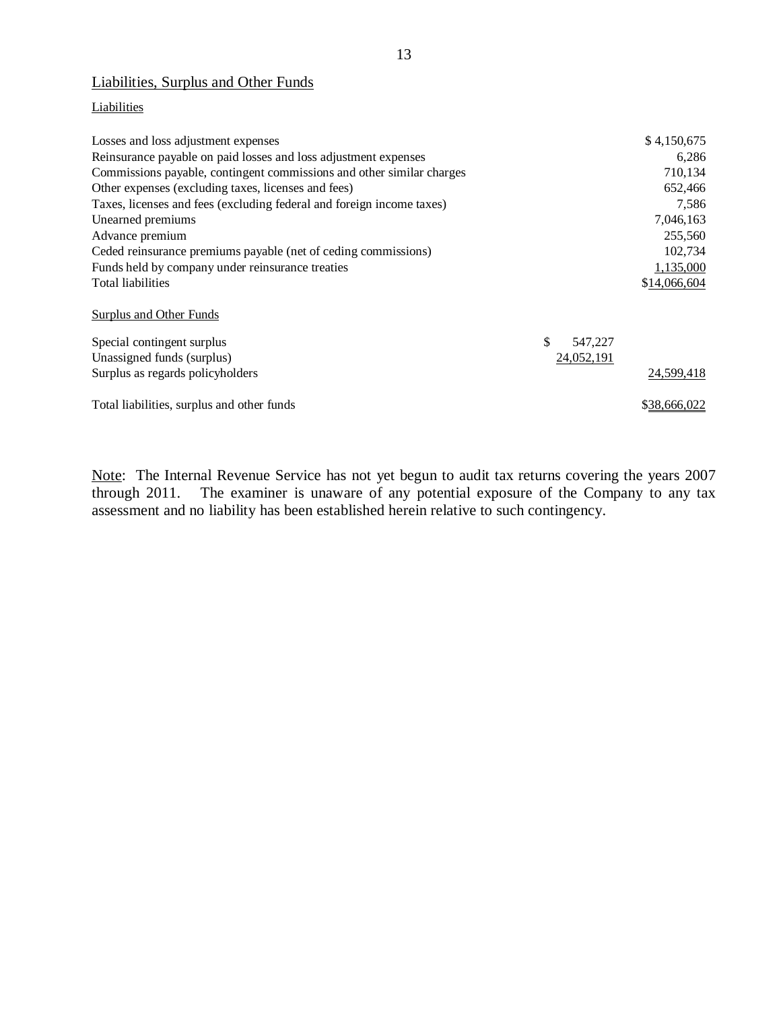## Liabilities, Surplus and Other Funds

## **Liabilities**

| Losses and loss adjustment expenses                                   |               | \$4,150,675  |
|-----------------------------------------------------------------------|---------------|--------------|
| Reinsurance payable on paid losses and loss adjustment expenses       |               | 6,286        |
| Commissions payable, contingent commissions and other similar charges |               | 710,134      |
| Other expenses (excluding taxes, licenses and fees)                   |               | 652,466      |
| Taxes, licenses and fees (excluding federal and foreign income taxes) |               | 7,586        |
| Unearned premiums                                                     |               | 7,046,163    |
| Advance premium                                                       |               | 255,560      |
| Ceded reinsurance premiums payable (net of ceding commissions)        |               | 102,734      |
| Funds held by company under reinsurance treaties                      |               | 1,135,000    |
| Total liabilities                                                     |               | \$14,066,604 |
| Surplus and Other Funds                                               |               |              |
| Special contingent surplus                                            | \$<br>547,227 |              |
| Unassigned funds (surplus)                                            | 24,052,191    |              |
| Surplus as regards policyholders                                      |               | 24,599,418   |
| Total liabilities, surplus and other funds                            |               | \$38,666,022 |

Note: The Internal Revenue Service has not yet begun to audit tax returns covering the years 2007 through 2011. The examiner is unaware of any potential exposure of the Company to any tax The examiner is unaware of any potential exposure of the Company to any tax assessment and no liability has been established herein relative to such contingency.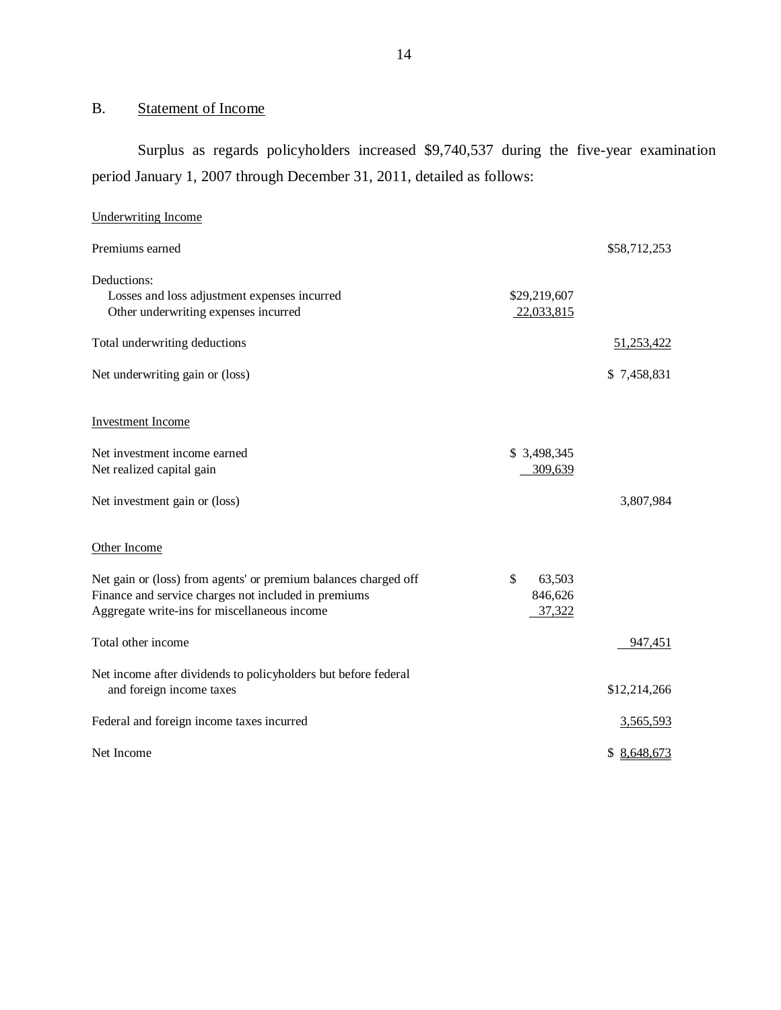## B. Statement of Income

Surplus as regards policyholders increased \$9,740,537 during the five-year examination period January 1, 2007 through December 31, 2011, detailed as follows:

| <b>Underwriting Income</b>                                                                                                                                              |                                   |              |
|-------------------------------------------------------------------------------------------------------------------------------------------------------------------------|-----------------------------------|--------------|
| Premiums earned                                                                                                                                                         |                                   | \$58,712,253 |
| Deductions:<br>Losses and loss adjustment expenses incurred<br>Other underwriting expenses incurred                                                                     | \$29,219,607<br>22,033,815        |              |
| Total underwriting deductions                                                                                                                                           |                                   | 51,253,422   |
| Net underwriting gain or (loss)                                                                                                                                         |                                   | \$7,458,831  |
| <b>Investment Income</b>                                                                                                                                                |                                   |              |
| Net investment income earned<br>Net realized capital gain                                                                                                               | \$ 3,498,345<br>309,639           |              |
| Net investment gain or (loss)                                                                                                                                           |                                   | 3,807,984    |
| Other Income                                                                                                                                                            |                                   |              |
| Net gain or (loss) from agents' or premium balances charged off<br>Finance and service charges not included in premiums<br>Aggregate write-ins for miscellaneous income | \$<br>63,503<br>846,626<br>37,322 |              |
| Total other income                                                                                                                                                      |                                   | 947,451      |
| Net income after dividends to policyholders but before federal<br>and foreign income taxes                                                                              |                                   | \$12,214,266 |
| Federal and foreign income taxes incurred                                                                                                                               |                                   | 3,565,593    |
| Net Income                                                                                                                                                              |                                   | \$8,648,673  |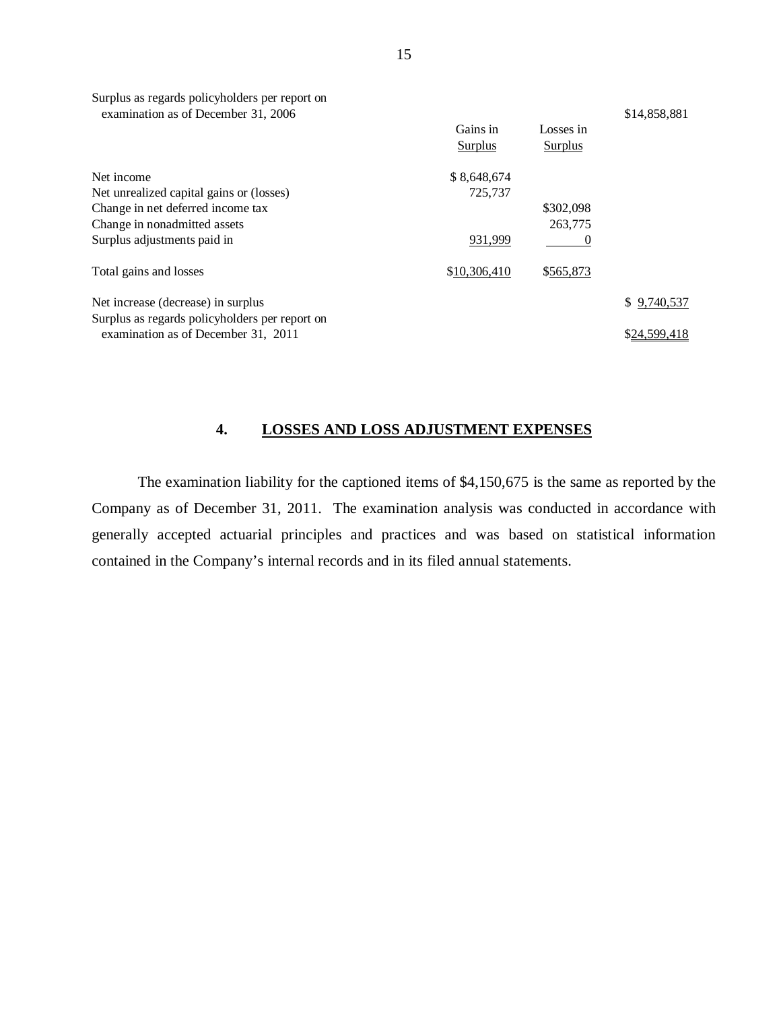| Surplus as regards policyholders per report on<br>examination as of December 31, 2006 | Gains in<br>Surplus | Losses in<br>Surplus | \$14,858,881 |
|---------------------------------------------------------------------------------------|---------------------|----------------------|--------------|
| Net income                                                                            | \$8,648,674         |                      |              |
| Net unrealized capital gains or (losses)                                              | 725,737             |                      |              |
| Change in net deferred income tax                                                     |                     | \$302,098            |              |
| Change in nonadmitted assets                                                          |                     | 263,775              |              |
| Surplus adjustments paid in                                                           | 931,999             | $\theta$             |              |
| Total gains and losses                                                                | \$10,306,410        | \$565,873            |              |
| Net increase (decrease) in surplus<br>Surplus as regards policyholders per report on  |                     |                      | \$9,740,537  |
| examination as of December 31, 2011                                                   |                     |                      | \$24,599,418 |

## **4. LOSSES AND LOSS ADJUSTMENT EXPENSES**

The examination liability for the captioned items of \$4,150,675 is the same as reported by the Company as of December 31, 2011. The examination analysis was conducted in accordance with generally accepted actuarial principles and practices and was based on statistical information contained in the Company's internal records and in its filed annual statements.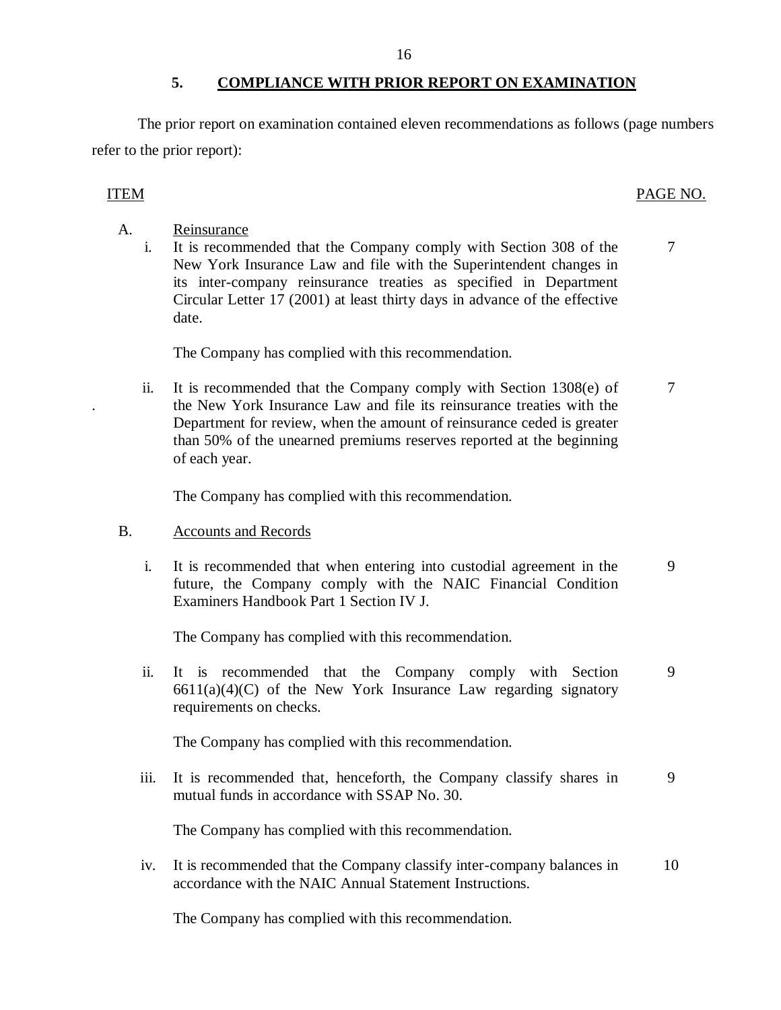## **5. COMPLIANCE WITH PRIOR REPORT ON EXAMINATION**

<span id="page-17-0"></span>The prior report on examination contained eleven recommendations as follows (page numbers refer to the prior report):

A. Reinsurance i. It is recommended that the Company comply with Section 308 of the 7 New York Insurance Law and file with the Superintendent changes in its inter-company reinsurance treaties as specified in Department Circular Letter 17 (2001) at least thirty days in advance of the effective date.

The Company has complied with this recommendation.

ii. It is recommended that the Company comply with Section  $1308(e)$  of  $7$ . the New York Insurance Law and file its reinsurance treaties with the Department for review, when the amount of reinsurance ceded is greater than 50% of the unearned premiums reserves reported at the beginning of each year.

The Company has complied with this recommendation.

## B. Accounts and Records

i. It is recommended that when entering into custodial agreement in the 9 future, the Company comply with the NAIC Financial Condition Examiners Handbook Part 1 Section IV J.

The Company has complied with this recommendation.

ii. It is recommended that the Company comply with Section 9  $6611(a)(4)(C)$  of the New York Insurance Law regarding signatory requirements on checks.

The Company has complied with this recommendation.

iii. It is recommended that, henceforth, the Company classify shares in 9 mutual funds in accordance with SSAP No. 30.

The Company has complied with this recommendation.

iv. It is recommended that the Company classify inter-company balances in 10 accordance with the NAIC Annual Statement Instructions.

The Company has complied with this recommendation.

## ITEM PAGE NO.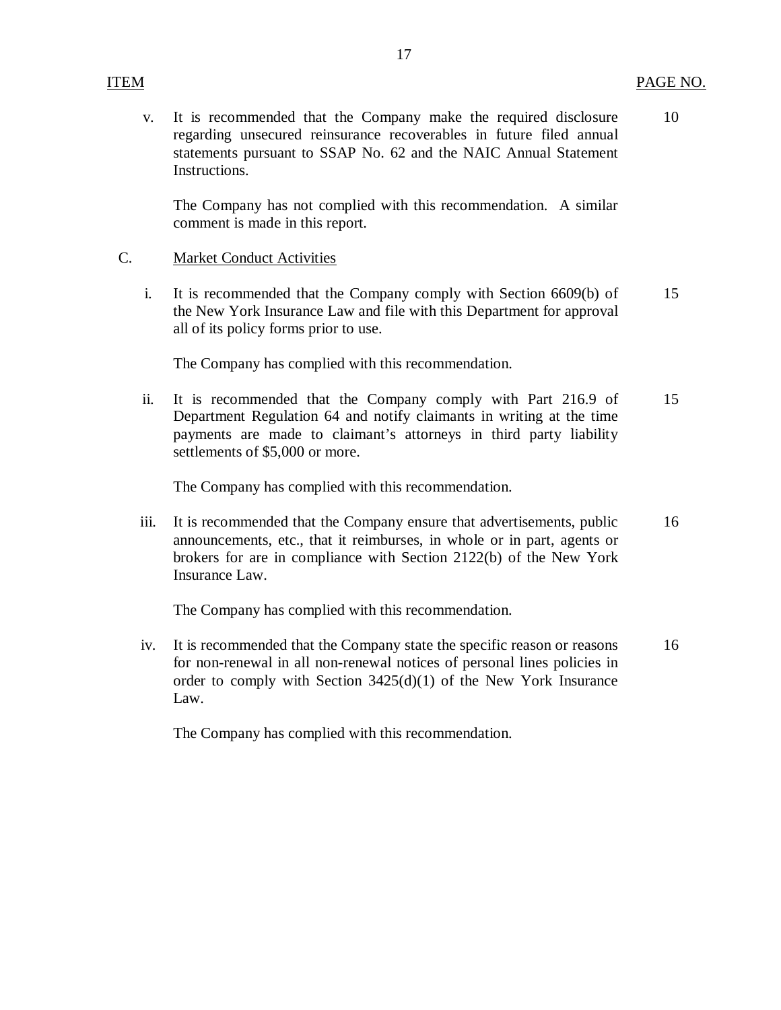v. It is recommended that the Company make the required disclosure 10 regarding unsecured reinsurance recoverables in future filed annual statements pursuant to SSAP No. 62 and the NAIC Annual Statement Instructions.

17

The Company has not complied with this recommendation. A similar comment is made in this report.

## C. Market Conduct Activities

i. It is recommended that the Company comply with Section 6609(b) of 15 the New York Insurance Law and file with this Department for approval all of its policy forms prior to use.

The Company has complied with this recommendation.

ii. It is recommended that the Company comply with Part 216.9 of 15 Department Regulation 64 and notify claimants in writing at the time payments are made to claimant's attorneys in third party liability settlements of \$5,000 or more.

The Company has complied with this recommendation.

iii. It is recommended that the Company ensure that advertisements, public 16 announcements, etc., that it reimburses, in whole or in part, agents or brokers for are in compliance with Section 2122(b) of the New York Insurance Law.

The Company has complied with this recommendation.

iv. It is recommended that the Company state the specific reason or reasons 16 for non-renewal in all non-renewal notices of personal lines policies in order to comply with Section 3425(d)(1) of the New York Insurance Law.

The Company has complied with this recommendation.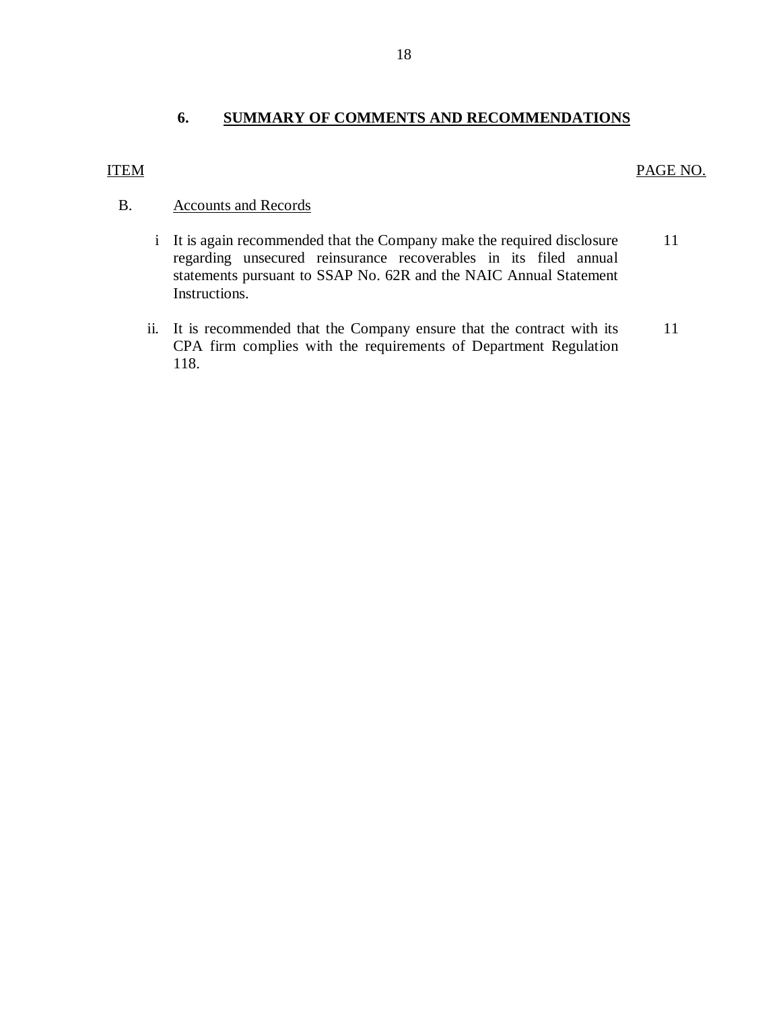## **6. SUMMARY OF COMMENTS AND RECOMMENDATIONS**

## ITEM PAGE NO.

## B. Accounts and Records

- i It is again recommended that the Company make the required disclosure regarding unsecured reinsurance recoverables in its filed annual statements pursuant to SSAP No. 62R and the NAIC Annual Statement Instructions. 11
- ii. It is recommended that the Company ensure that the contract with its CPA firm complies with the requirements of Department Regulation 118. 11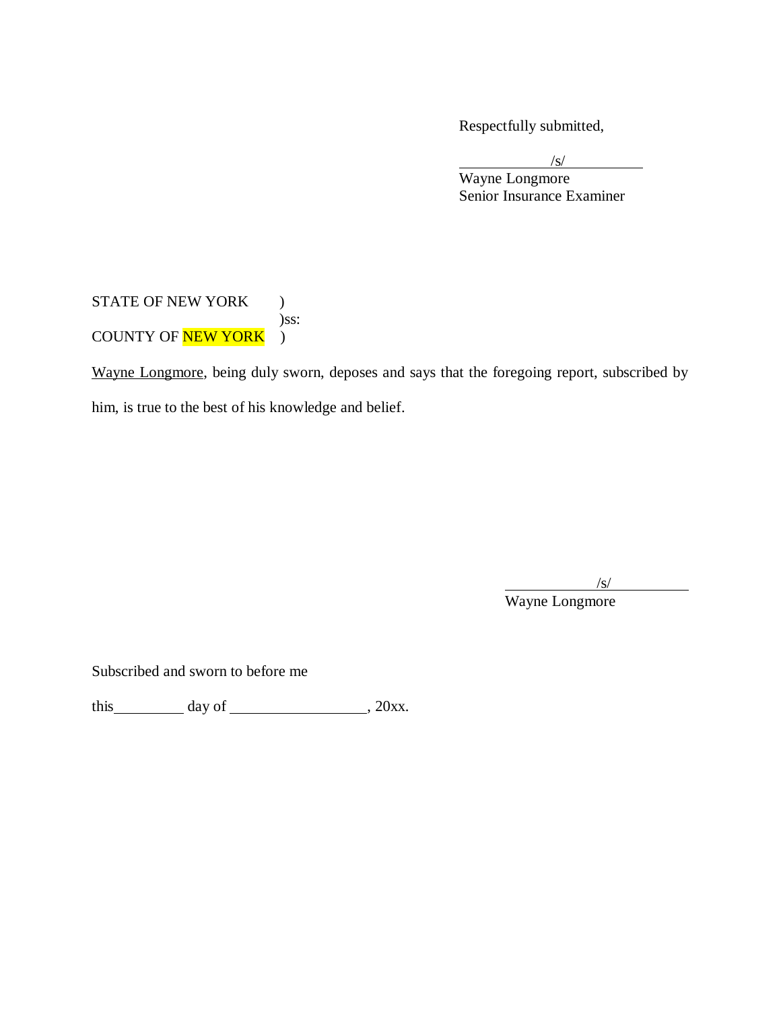Respectfully submitted,

/s/ Wayne Longmore Senior Insurance Examiner

STATE OF NEW YORK ) )ss: COUNTY OF **NEW YORK** )

Wayne Longmore, being duly sworn, deposes and says that the foregoing report, subscribed by him, is true to the best of his knowledge and belief.

/s/

Wayne Longmore

Subscribed and sworn to before me

this  $\_\_\_\_\_\$  day of  $\_\_\_\_\_\_\_\_\$ , 20xx.